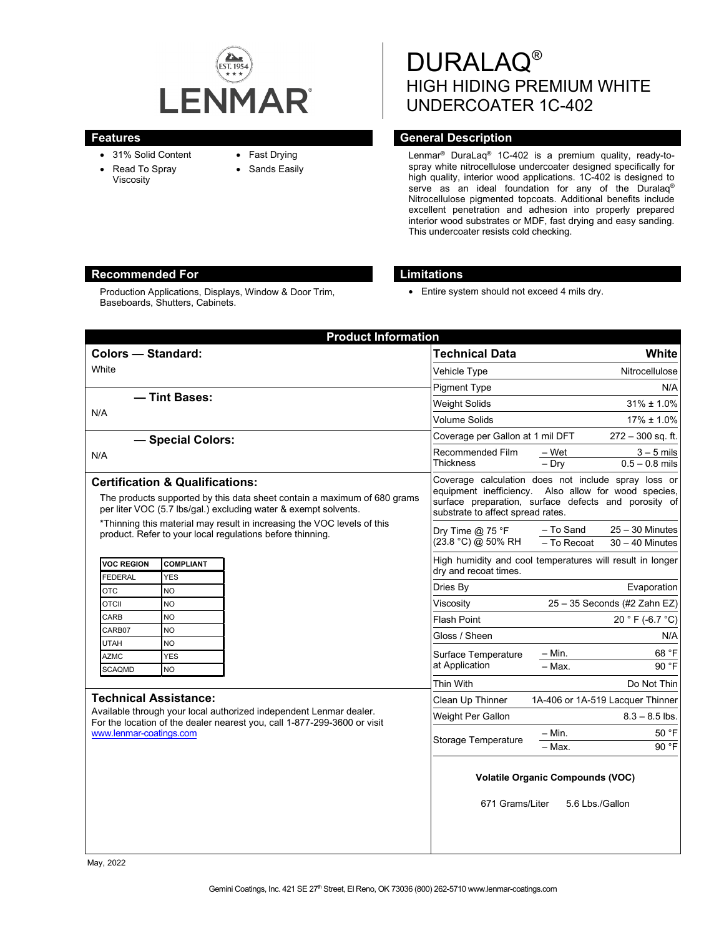

- 31% Solid Content
- Read To Spray
- Viscosity
- Fast Drying
- Sands Easily

DURALAQ® HIGH HIDING PREMIUM WHITE UNDERCOATER 1C-402

## **Features Features General Description**

Lenmar® DuraLaq® 1C-402 is a premium quality, ready-tospray white nitrocellulose undercoater designed specifically for high quality, interior wood applications. 1C-402 is designed to serve as an ideal foundation for any of the Duralaq® Nitrocellulose pigmented topcoats. Additional benefits include excellent penetration and adhesion into properly prepared interior wood substrates or MDF, fast drying and easy sanding. This undercoater resists cold checking.

#### **Recommended For Limitations**

Production Applications, Displays, Window & Door Trim, Baseboards, Shutters, Cabinets.

• Entire system should not exceed 4 mils dry.

| <b>Product Information</b>                                                                                                                                                                                                                                                                                                        |                                                                                                                                                                                                          |
|-----------------------------------------------------------------------------------------------------------------------------------------------------------------------------------------------------------------------------------------------------------------------------------------------------------------------------------|----------------------------------------------------------------------------------------------------------------------------------------------------------------------------------------------------------|
| <b>Colors - Standard:</b>                                                                                                                                                                                                                                                                                                         | <b>Technical Data</b><br>White                                                                                                                                                                           |
| White                                                                                                                                                                                                                                                                                                                             | Vehicle Type<br>Nitrocellulose                                                                                                                                                                           |
|                                                                                                                                                                                                                                                                                                                                   | Pigment Type<br>N/A                                                                                                                                                                                      |
| - Tint Bases:                                                                                                                                                                                                                                                                                                                     | $31\% \pm 1.0\%$<br><b>Weight Solids</b>                                                                                                                                                                 |
| N/A                                                                                                                                                                                                                                                                                                                               | 17% ± 1.0%<br>Volume Solids                                                                                                                                                                              |
| - Special Colors:                                                                                                                                                                                                                                                                                                                 | $272 - 300$ sq. ft.<br>Coverage per Gallon at 1 mil DFT                                                                                                                                                  |
| N/A                                                                                                                                                                                                                                                                                                                               | Recommended Film<br>– Wet<br>$3 - 5$ mils                                                                                                                                                                |
|                                                                                                                                                                                                                                                                                                                                   | <b>Thickness</b><br>$0.5 - 0.8$ mils<br>$-$ Dry                                                                                                                                                          |
| <b>Certification &amp; Qualifications:</b><br>The products supported by this data sheet contain a maximum of 680 grams<br>per liter VOC (5.7 lbs/gal.) excluding water & exempt solvents.<br>*Thinning this material may result in increasing the VOC levels of this<br>product. Refer to your local regulations before thinning. | Coverage calculation does not include spray loss or<br>equipment inefficiency. Also allow for wood species,<br>surface preparation, surface defects and porosity of<br>substrate to affect spread rates. |
|                                                                                                                                                                                                                                                                                                                                   | - To Sand<br>$25 - 30$ Minutes<br>Dry Time $@$ 75 °F<br>(23.8 °C) @ 50% RH<br>$-$ To Recoat<br>$30 - 40$ Minutes                                                                                         |
| <b>VOC REGION</b><br><b>COMPLIANT</b><br><b>FEDERAL</b><br><b>YES</b>                                                                                                                                                                                                                                                             | High humidity and cool temperatures will result in longer<br>dry and recoat times.                                                                                                                       |
| <b>NO</b><br>OTC                                                                                                                                                                                                                                                                                                                  | Dries By<br>Evaporation                                                                                                                                                                                  |
| <b>NO</b><br><b>OTCII</b>                                                                                                                                                                                                                                                                                                         | 25 - 35 Seconds (#2 Zahn EZ)<br>Viscositv                                                                                                                                                                |
| <b>NO</b><br>CARB                                                                                                                                                                                                                                                                                                                 | <b>Flash Point</b><br>20 ° F (-6.7 $^{\circ}$ C)                                                                                                                                                         |
| CARB07<br><b>NO</b>                                                                                                                                                                                                                                                                                                               | Gloss / Sheen<br>N/A                                                                                                                                                                                     |
| <b>NO</b><br><b>UTAH</b><br><b>YES</b><br><b>AZMC</b>                                                                                                                                                                                                                                                                             | 68 °F<br>- Min.<br>Surface Temperature                                                                                                                                                                   |
| <b>NO</b><br><b>SCAQMD</b>                                                                                                                                                                                                                                                                                                        | at Application<br>- Max.<br>90 °F                                                                                                                                                                        |
|                                                                                                                                                                                                                                                                                                                                   | Thin With<br>Do Not Thin                                                                                                                                                                                 |
| <b>Technical Assistance:</b>                                                                                                                                                                                                                                                                                                      | Clean Up Thinner<br>1A-406 or 1A-519 Lacquer Thinner                                                                                                                                                     |
| Available through your local authorized independent Lenmar dealer.                                                                                                                                                                                                                                                                | Weight Per Gallon<br>$8.3 - 8.5$ lbs.                                                                                                                                                                    |
| For the location of the dealer nearest you, call 1-877-299-3600 or visit<br>www.lenmar-coatings.com                                                                                                                                                                                                                               | $-$ Min.<br>50 °F<br><b>Storage Temperature</b><br>90 °F<br>- Max.                                                                                                                                       |
|                                                                                                                                                                                                                                                                                                                                   |                                                                                                                                                                                                          |
|                                                                                                                                                                                                                                                                                                                                   |                                                                                                                                                                                                          |